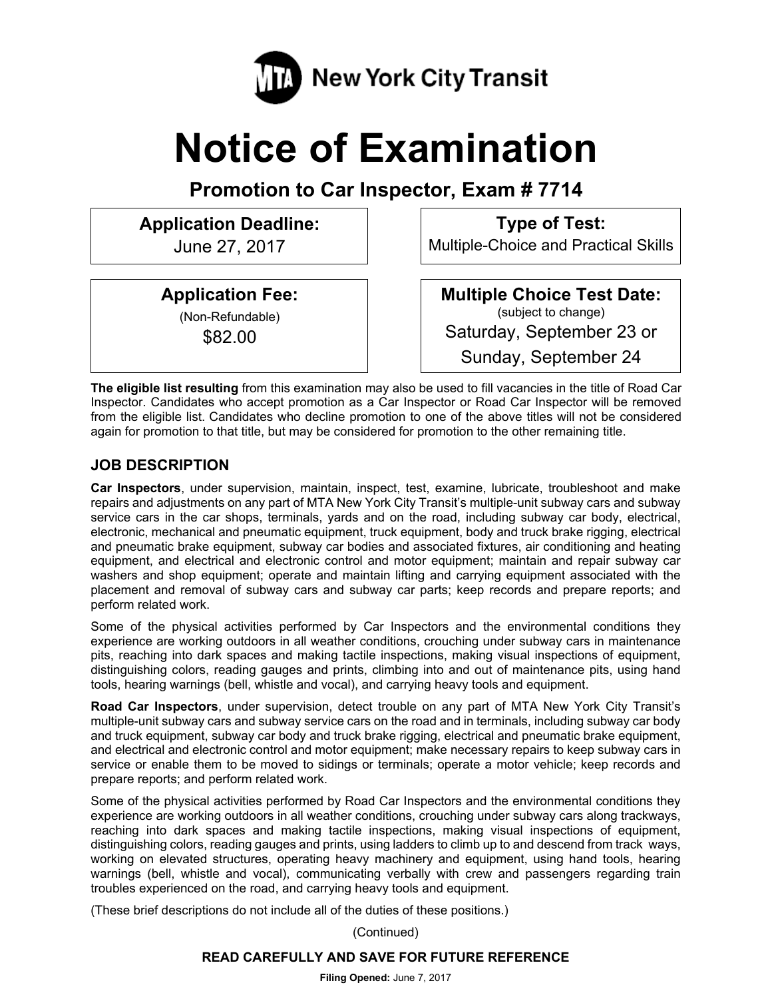

# **Notice of Examination**

**Promotion to Car Inspector, Exam # 7714** 

# **Application Deadline:**

June 27, 2017

**Application Fee:** 

(Non-Refundable) \$82.00

**Type of Test:** 

Multiple-Choice and Practical Skills

**Multiple Choice Test Date:** (subject to change) Saturday, September 23 or Sunday, September 24

**The eligible list resulting** from this examination may also be used to fill vacancies in the title of Road Car Inspector. Candidates who accept promotion as a Car Inspector or Road Car Inspector will be removed from the eligible list. Candidates who decline promotion to one of the above titles will not be considered again for promotion to that title, but may be considered for promotion to the other remaining title.

## **JOB DESCRIPTION**

**Car Inspectors**, under supervision, maintain, inspect, test, examine, lubricate, troubleshoot and make repairs and adjustments on any part of MTA New York City Transit's multiple-unit subway cars and subway service cars in the car shops, terminals, yards and on the road, including subway car body, electrical, electronic, mechanical and pneumatic equipment, truck equipment, body and truck brake rigging, electrical and pneumatic brake equipment, subway car bodies and associated fixtures, air conditioning and heating equipment, and electrical and electronic control and motor equipment; maintain and repair subway car washers and shop equipment; operate and maintain lifting and carrying equipment associated with the placement and removal of subway cars and subway car parts; keep records and prepare reports; and perform related work.

Some of the physical activities performed by Car Inspectors and the environmental conditions they experience are working outdoors in all weather conditions, crouching under subway cars in maintenance pits, reaching into dark spaces and making tactile inspections, making visual inspections of equipment, distinguishing colors, reading gauges and prints, climbing into and out of maintenance pits, using hand tools, hearing warnings (bell, whistle and vocal), and carrying heavy tools and equipment.

**Road Car Inspectors**, under supervision, detect trouble on any part of MTA New York City Transit's multiple-unit subway cars and subway service cars on the road and in terminals, including subway car body and truck equipment, subway car body and truck brake rigging, electrical and pneumatic brake equipment, and electrical and electronic control and motor equipment; make necessary repairs to keep subway cars in service or enable them to be moved to sidings or terminals; operate a motor vehicle; keep records and prepare reports; and perform related work.

Some of the physical activities performed by Road Car Inspectors and the environmental conditions they experience are working outdoors in all weather conditions, crouching under subway cars along trackways, reaching into dark spaces and making tactile inspections, making visual inspections of equipment, distinguishing colors, reading gauges and prints, using ladders to climb up to and descend from track ways, working on elevated structures, operating heavy machinery and equipment, using hand tools, hearing warnings (bell, whistle and vocal), communicating verbally with crew and passengers regarding train troubles experienced on the road, and carrying heavy tools and equipment.

(These brief descriptions do not include all of the duties of these positions.)

(Continued)

## **READ CAREFULLY AND SAVE FOR FUTURE REFERENCE**

**Filing Opened:** June 7, 2017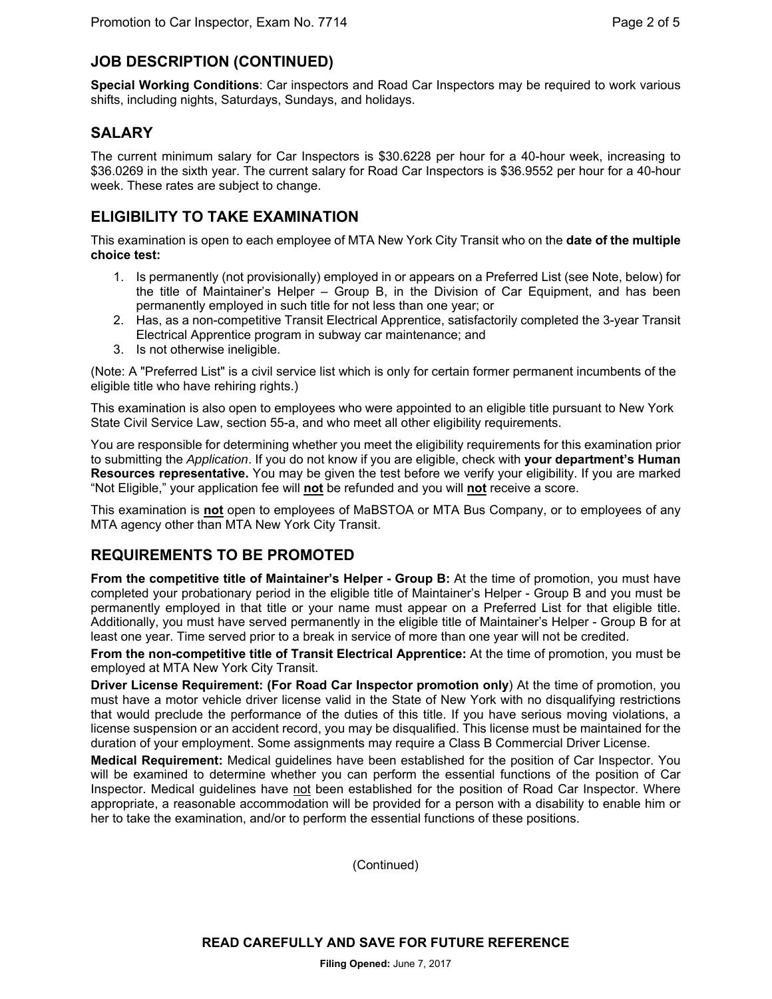## **JOB DESCRIPTION (CONTINUED)**

**Special Working Conditions**: Car inspectors and Road Car Inspectors may be required to work various shifts, including nights, Saturdays, Sundays, and holidays.

## **SALARY**

The current minimum salary for Car Inspectors is \$30.6228 per hour for a 40-hour week, increasing to \$36.0269 in the sixth year. The current salary for Road Car Inspectors is \$36.9552 per hour for a 40-hour week. These rates are subject to change.

## **ELIGIBILITY TO TAKE EXAMINATION**

This examination is open to each employee of MTA New York City Transit who on the **date of the multiple choice test:** 

- 1. Is permanently (not provisionally) employed in or appears on a Preferred List (see Note, below) for the title of Maintainer's Helper – Group B, in the Division of Car Equipment, and has been permanently employed in such title for not less than one year; or
- 2. Has, as a non-competitive Transit Electrical Apprentice, satisfactorily completed the 3-year Transit Electrical Apprentice program in subway car maintenance; and
- 3. Is not otherwise ineligible.

(Note: A "Preferred List" is a civil service list which is only for certain former permanent incumbents of the eligible title who have rehiring rights.)

This examination is also open to employees who were appointed to an eligible title pursuant to New York State Civil Service Law, section 55-a, and who meet all other eligibility requirements.

You are responsible for determining whether you meet the eligibility requirements for this examination prior to submitting the *Application*. If you do not know if you are eligible, check with **your department's Human Resources representative.** You may be given the test before we verify your eligibility. If you are marked "Not Eligible," your application fee will **not** be refunded and you will **not** receive a score.

This examination is **not** open to employees of MaBSTOA or MTA Bus Company, or to employees of any MTA agency other than MTA New York City Transit.

## **REQUIREMENTS TO BE PROMOTED**

**From the competitive title of Maintainer's Helper - Group B:** At the time of promotion, you must have completed your probationary period in the eligible title of Maintainer's Helper - Group B and you must be permanently employed in that title or your name must appear on a Preferred List for that eligible title. Additionally, you must have served permanently in the eligible title of Maintainer's Helper - Group B for at least one year. Time served prior to a break in service of more than one year will not be credited.

**From the non-competitive title of Transit Electrical Apprentice:** At the time of promotion, you must be employed at MTA New York City Transit.

**Driver License Requirement: (For Road Car Inspector promotion only**) At the time of promotion, you must have a motor vehicle driver license valid in the State of New York with no disqualifying restrictions that would preclude the performance of the duties of this title. If you have serious moving violations, a license suspension or an accident record, you may be disqualified. This license must be maintained for the duration of your employment. Some assignments may require a Class B Commercial Driver License.

**Medical Requirement:** Medical guidelines have been established for the position of Car Inspector. You will be examined to determine whether you can perform the essential functions of the position of Car Inspector. Medical guidelines have not been established for the position of Road Car Inspector. Where appropriate, a reasonable accommodation will be provided for a person with a disability to enable him or her to take the examination, and/or to perform the essential functions of these positions.

(Continued)

**READ CAREFULLY AND SAVE FOR FUTURE REFERENCE** 

**Filing Opened:** June 7, 2017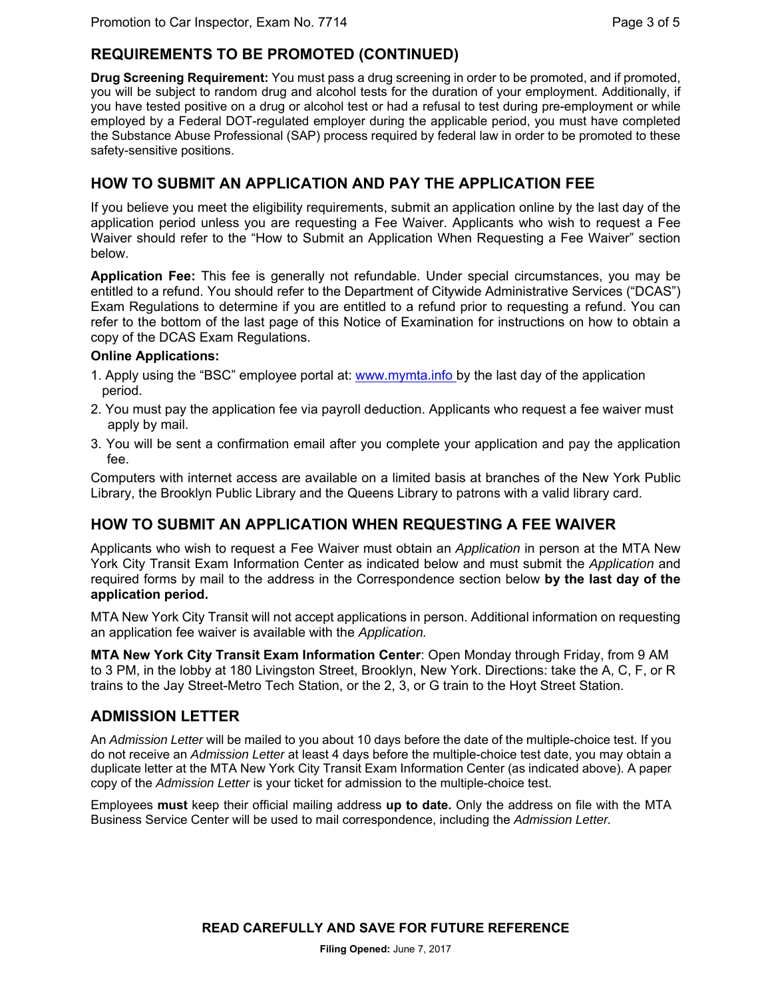## **REQUIREMENTS TO BE PROMOTED (CONTINUED)**

**Drug Screening Requirement:** You must pass a drug screening in order to be promoted, and if promoted, you will be subject to random drug and alcohol tests for the duration of your employment. Additionally, if you have tested positive on a drug or alcohol test or had a refusal to test during pre-employment or while employed by a Federal DOT-regulated employer during the applicable period, you must have completed the Substance Abuse Professional (SAP) process required by federal law in order to be promoted to these safety-sensitive positions.

## **HOW TO SUBMIT AN APPLICATION AND PAY THE APPLICATION FEE**

If you believe you meet the eligibility requirements, submit an application online by the last day of the application period unless you are requesting a Fee Waiver. Applicants who wish to request a Fee Waiver should refer to the "How to Submit an Application When Requesting a Fee Waiver" section below.

**Application Fee:** This fee is generally not refundable. Under special circumstances, you may be entitled to a refund. You should refer to the Department of Citywide Administrative Services ("DCAS") Exam Regulations to determine if you are entitled to a refund prior to requesting a refund. You can refer to the bottom of the last page of this Notice of Examination for instructions on how to obtain a copy of the DCAS Exam Regulations.

#### **Online Applications:**

- 1. Apply using the "BSC" employee portal at: www.mymta.info by the last day of the application period.
- 2. You must pay the application fee via payroll deduction. Applicants who request a fee waiver must apply by mail.
- 3. You will be sent a confirmation email after you complete your application and pay the application fee.

Computers with internet access are available on a limited basis at branches of the New York Public Library, the Brooklyn Public Library and the Queens Library to patrons with a valid library card.

## **HOW TO SUBMIT AN APPLICATION WHEN REQUESTING A FEE WAIVER**

Applicants who wish to request a Fee Waiver must obtain an *Application* in person at the MTA New York City Transit Exam Information Center as indicated below and must submit the *Application* and required forms by mail to the address in the Correspondence section below **by the last day of the application period.**

MTA New York City Transit will not accept applications in person. Additional information on requesting an application fee waiver is available with the *Application.* 

**MTA New York City Transit Exam Information Center**: Open Monday through Friday, from 9 AM to 3 PM, in the lobby at 180 Livingston Street, Brooklyn, New York. Directions: take the A, C, F, or R trains to the Jay Street-Metro Tech Station, or the 2, 3, or G train to the Hoyt Street Station.

## **ADMISSION LETTER**

An *Admission Letter* will be mailed to you about 10 days before the date of the multiple-choice test. If you do not receive an *Admission Letter* at least 4 days before the multiple-choice test date, you may obtain a duplicate letter at the MTA New York City Transit Exam Information Center (as indicated above). A paper copy of the *Admission Letter* is your ticket for admission to the multiple-choice test.

Employees **must** keep their official mailing address **up to date.** Only the address on file with the MTA Business Service Center will be used to mail correspondence, including the *Admission Letter.*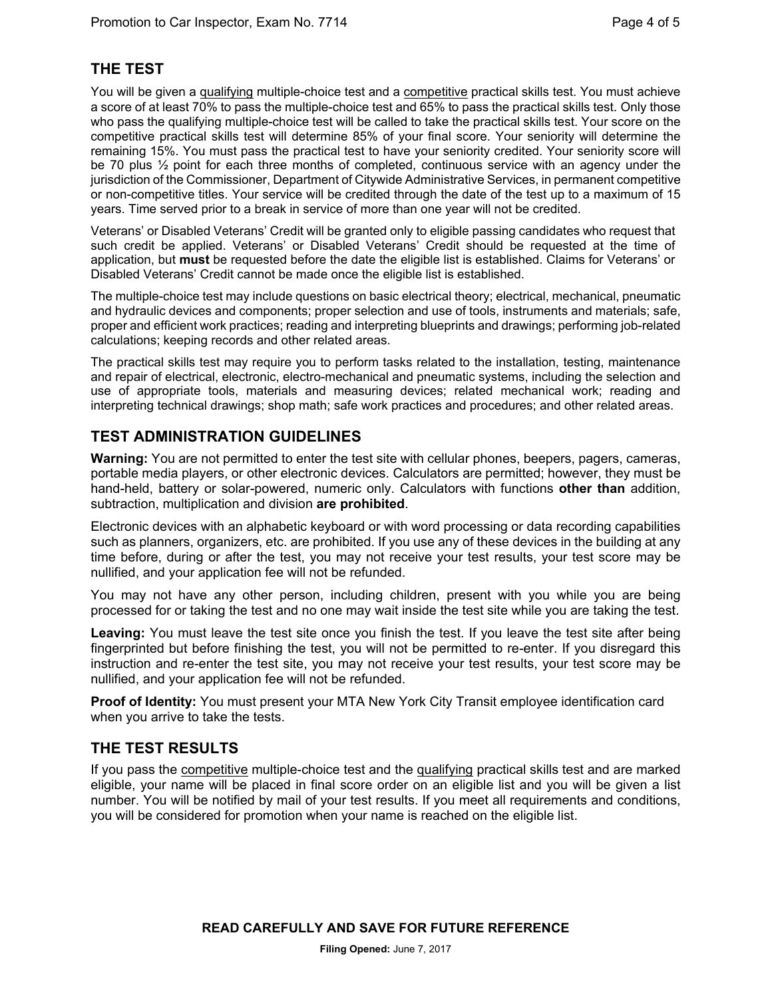## **THE TEST**

You will be given a qualifying multiple-choice test and a competitive practical skills test. You must achieve a score of at least 70% to pass the multiple-choice test and 65% to pass the practical skills test. Only those who pass the qualifying multiple-choice test will be called to take the practical skills test. Your score on the competitive practical skills test will determine 85% of your final score. Your seniority will determine the remaining 15%. You must pass the practical test to have your seniority credited. Your seniority score will be 70 plus ½ point for each three months of completed, continuous service with an agency under the jurisdiction of the Commissioner, Department of Citywide Administrative Services, in permanent competitive or non-competitive titles. Your service will be credited through the date of the test up to a maximum of 15 years. Time served prior to a break in service of more than one year will not be credited.

Veterans' or Disabled Veterans' Credit will be granted only to eligible passing candidates who request that such credit be applied. Veterans' or Disabled Veterans' Credit should be requested at the time of application, but **must** be requested before the date the eligible list is established. Claims for Veterans' or Disabled Veterans' Credit cannot be made once the eligible list is established.

The multiple-choice test may include questions on basic electrical theory; electrical, mechanical, pneumatic and hydraulic devices and components; proper selection and use of tools, instruments and materials; safe, proper and efficient work practices; reading and interpreting blueprints and drawings; performing job-related calculations; keeping records and other related areas.

The practical skills test may require you to perform tasks related to the installation, testing, maintenance and repair of electrical, electronic, electro-mechanical and pneumatic systems, including the selection and use of appropriate tools, materials and measuring devices; related mechanical work; reading and interpreting technical drawings; shop math; safe work practices and procedures; and other related areas.

## **TEST ADMINISTRATION GUIDELINES**

**Warning:** You are not permitted to enter the test site with cellular phones, beepers, pagers, cameras, portable media players, or other electronic devices. Calculators are permitted; however, they must be hand-held, battery or solar-powered, numeric only. Calculators with functions **other than** addition, subtraction, multiplication and division **are prohibited**.

Electronic devices with an alphabetic keyboard or with word processing or data recording capabilities such as planners, organizers, etc. are prohibited. If you use any of these devices in the building at any time before, during or after the test, you may not receive your test results, your test score may be nullified, and your application fee will not be refunded.

You may not have any other person, including children, present with you while you are being processed for or taking the test and no one may wait inside the test site while you are taking the test.

**Leaving:** You must leave the test site once you finish the test. If you leave the test site after being fingerprinted but before finishing the test, you will not be permitted to re-enter. If you disregard this instruction and re-enter the test site, you may not receive your test results, your test score may be nullified, and your application fee will not be refunded.

**Proof of Identity:** You must present your MTA New York City Transit employee identification card when you arrive to take the tests.

#### **THE TEST RESULTS**

If you pass the competitive multiple-choice test and the qualifying practical skills test and are marked eligible, your name will be placed in final score order on an eligible list and you will be given a list number. You will be notified by mail of your test results. If you meet all requirements and conditions, you will be considered for promotion when your name is reached on the eligible list.

**READ CAREFULLY AND SAVE FOR FUTURE REFERENCE**